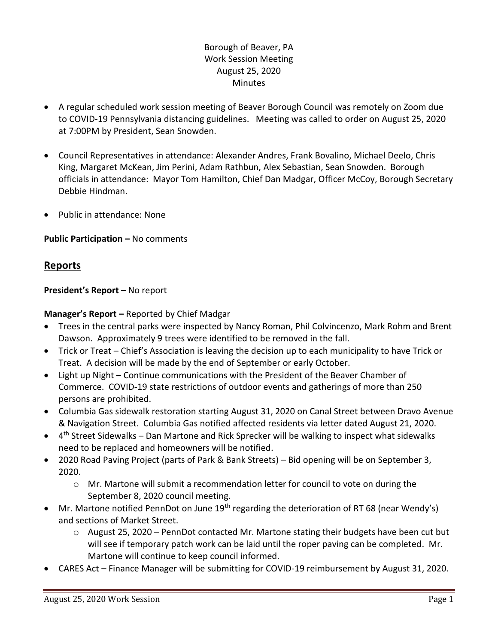## Borough of Beaver, PA Work Session Meeting August 25, 2020 **Minutes**

- A regular scheduled work session meeting of Beaver Borough Council was remotely on Zoom due to COVID-19 Pennsylvania distancing guidelines. Meeting was called to order on August 25, 2020 at 7:00PM by President, Sean Snowden.
- Council Representatives in attendance: Alexander Andres, Frank Bovalino, Michael Deelo, Chris King, Margaret McKean, Jim Perini, Adam Rathbun, Alex Sebastian, Sean Snowden. Borough officials in attendance: Mayor Tom Hamilton, Chief Dan Madgar, Officer McCoy, Borough Secretary Debbie Hindman.
- Public in attendance: None

## **Public Participation –** No comments

## **Reports**

## **President's Report –** No report

## **Manager's Report –** Reported by Chief Madgar

- Trees in the central parks were inspected by Nancy Roman, Phil Colvincenzo, Mark Rohm and Brent Dawson. Approximately 9 trees were identified to be removed in the fall.
- Trick or Treat Chief's Association is leaving the decision up to each municipality to have Trick or Treat. A decision will be made by the end of September or early October.
- Light up Night Continue communications with the President of the Beaver Chamber of Commerce. COVID-19 state restrictions of outdoor events and gatherings of more than 250 persons are prohibited.
- Columbia Gas sidewalk restoration starting August 31, 2020 on Canal Street between Dravo Avenue & Navigation Street. Columbia Gas notified affected residents via letter dated August 21, 2020.
- 4<sup>th</sup> Street Sidewalks Dan Martone and Rick Sprecker will be walking to inspect what sidewalks need to be replaced and homeowners will be notified.
- 2020 Road Paving Project (parts of Park & Bank Streets) Bid opening will be on September 3, 2020.
	- $\circ$  Mr. Martone will submit a recommendation letter for council to vote on during the September 8, 2020 council meeting.
- Mr. Martone notified PennDot on June 19<sup>th</sup> regarding the deterioration of RT 68 (near Wendy's) and sections of Market Street.
	- o August 25, 2020 PennDot contacted Mr. Martone stating their budgets have been cut but will see if temporary patch work can be laid until the roper paving can be completed. Mr. Martone will continue to keep council informed.
- CARES Act Finance Manager will be submitting for COVID-19 reimbursement by August 31, 2020.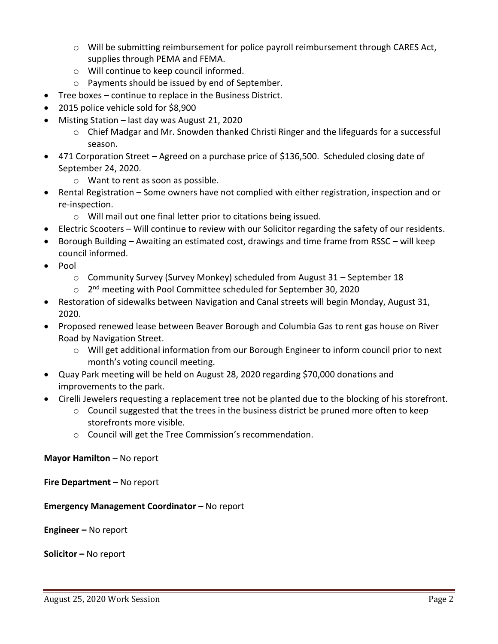- $\circ$  Will be submitting reimbursement for police payroll reimbursement through CARES Act, supplies through PEMA and FEMA.
- o Will continue to keep council informed.
- o Payments should be issued by end of September.
- Tree boxes continue to replace in the Business District.
- 2015 police vehicle sold for \$8,900
- Misting Station last day was August 21, 2020
	- $\circ$  Chief Madgar and Mr. Snowden thanked Christi Ringer and the lifeguards for a successful season.
- 471 Corporation Street Agreed on a purchase price of \$136,500. Scheduled closing date of September 24, 2020.
	- o Want to rent as soon as possible.
- Rental Registration Some owners have not complied with either registration, inspection and or re-inspection.
	- o Will mail out one final letter prior to citations being issued.
- Electric Scooters Will continue to review with our Solicitor regarding the safety of our residents.
- Borough Building Awaiting an estimated cost, drawings and time frame from RSSC will keep council informed.
- $\bullet$  Pool
	- o Community Survey (Survey Monkey) scheduled from August 31 September 18
	- o 2<sup>nd</sup> meeting with Pool Committee scheduled for September 30, 2020
- Restoration of sidewalks between Navigation and Canal streets will begin Monday, August 31, 2020.
- Proposed renewed lease between Beaver Borough and Columbia Gas to rent gas house on River Road by Navigation Street.
	- o Will get additional information from our Borough Engineer to inform council prior to next month's voting council meeting.
- Quay Park meeting will be held on August 28, 2020 regarding \$70,000 donations and improvements to the park.
- Cirelli Jewelers requesting a replacement tree not be planted due to the blocking of his storefront.
	- o Council suggested that the trees in the business district be pruned more often to keep storefronts more visible.
	- o Council will get the Tree Commission's recommendation.

## **Mayor Hamilton** – No report

**Fire Department –** No report

**Emergency Management Coordinator – No report** 

**Engineer –** No report

**Solicitor –** No report